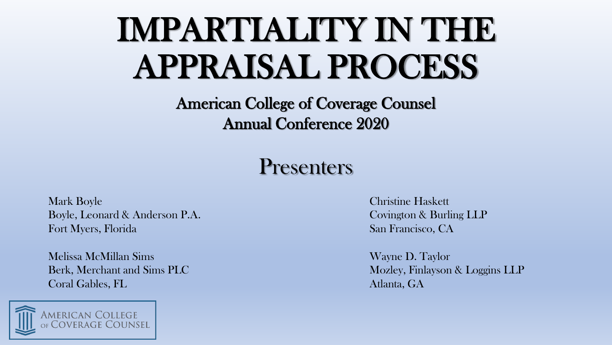### IMPARTIALITY IN THE APPRAISAL PROCESS

American College of Coverage Counsel Annual Conference 2020

#### **Presenters**

Mark Boyle Christine Haskett Boyle, Leonard & Anderson P.A. Covington & Burling LLP Fort Myers, Florida San Francisco, CA

Melissa McMillan Sims Wayne D. Taylor **Coral Gables, FL** Atlanta, GA



Berk, Merchant and Sims PLC and Similary and Similary and Similary and Mozley, Finlayson & Loggins LLP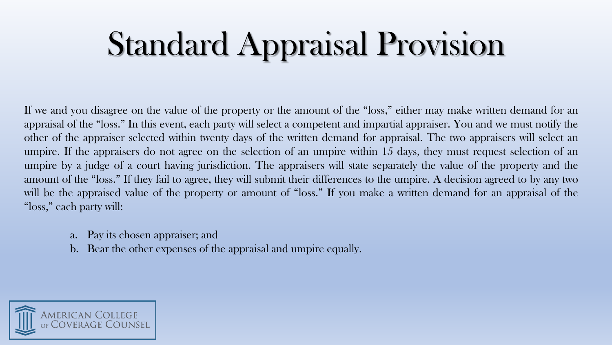### Standard Appraisal Provision

If we and you disagree on the value of the property or the amount of the "loss," either may make written demand for an appraisal of the "loss." In this event, each party will select a competent and impartial appraiser. You and we must notify the other of the appraiser selected within twenty days of the written demand for appraisal. The two appraisers will select an umpire. If the appraisers do not agree on the selection of an umpire within 15 days, they must request selection of an umpire by a judge of a court having jurisdiction. The appraisers will state separately the value of the property and the amount of the "loss." If they fail to agree, they will submit their differences to the umpire. A decision agreed to by any two will be the appraised value of the property or amount of "loss." If you make a written demand for an appraisal of the "loss," each party will:

- a. Pay its chosen appraiser; and
- b. Bear the other expenses of the appraisal and umpire equally.

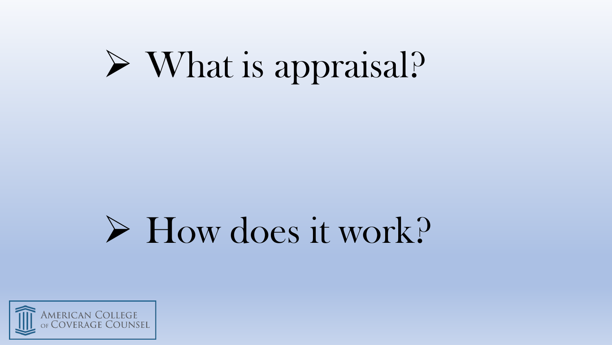# What is appraisal?

## How does it work?

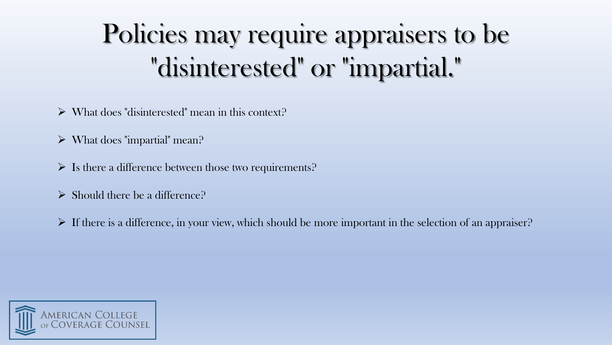### Policies may require appraisers to be "disinterested" or "impartial."

- $\triangleright$  What does "disinterested" mean in this context?
- $\triangleright$  What does "impartial" mean?
- $\triangleright$  Is there a difference between those two requirements?
- $\triangleright$  Should there be a difference?
- $\triangleright$  If there is a difference, in your view, which should be more important in the selection of an appraiser?

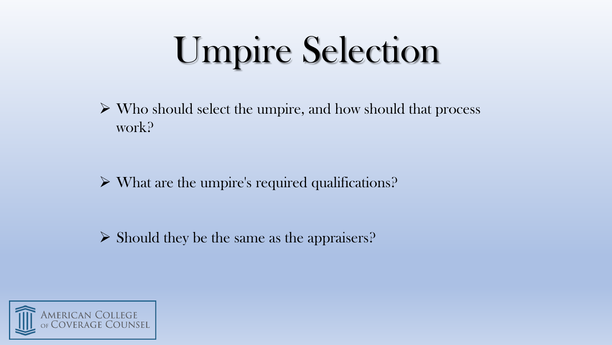# Umpire Selection

 $\triangleright$  Who should select the umpire, and how should that process work?

What are the umpire's required qualifications?

 $\triangleright$  Should they be the same as the appraisers?

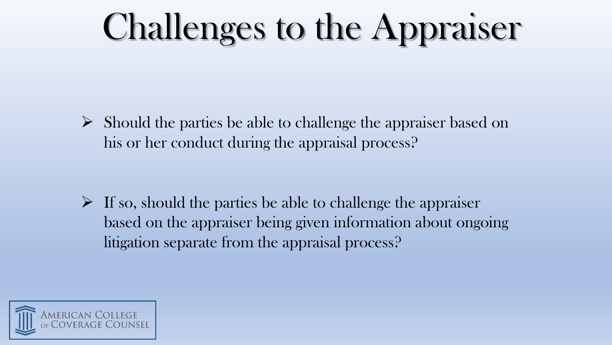# Challenges to the Appraiser

 $\triangleright$  Should the parties be able to challenge the appraiser based on his or her conduct during the appraisal process?

 $\triangleright$  If so, should the parties be able to challenge the appraiser based on the appraiser being given information about ongoing litigation separate from the appraisal process?

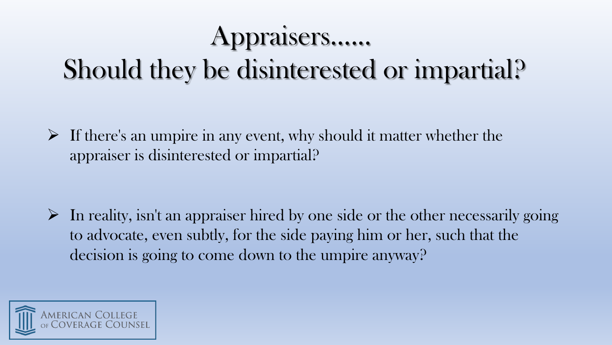#### Appraisers…...

### Should they be disinterested or impartial?

 $\triangleright$  If there's an umpire in any event, why should it matter whether the appraiser is disinterested or impartial?

 $\triangleright$  In reality, isn't an appraiser hired by one side or the other necessarily going to advocate, even subtly, for the side paying him or her, such that the decision is going to come down to the umpire anyway?

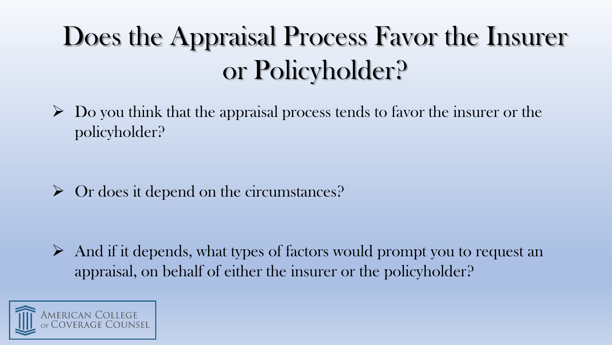### Does the Appraisal Process Favor the Insurer or Policyholder?

 $\triangleright$  Do you think that the appraisal process tends to favor the insurer or the policyholder?

Or does it depend on the circumstances?

 $\triangleright$  And if it depends, what types of factors would prompt you to request an appraisal, on behalf of either the insurer or the policyholder?